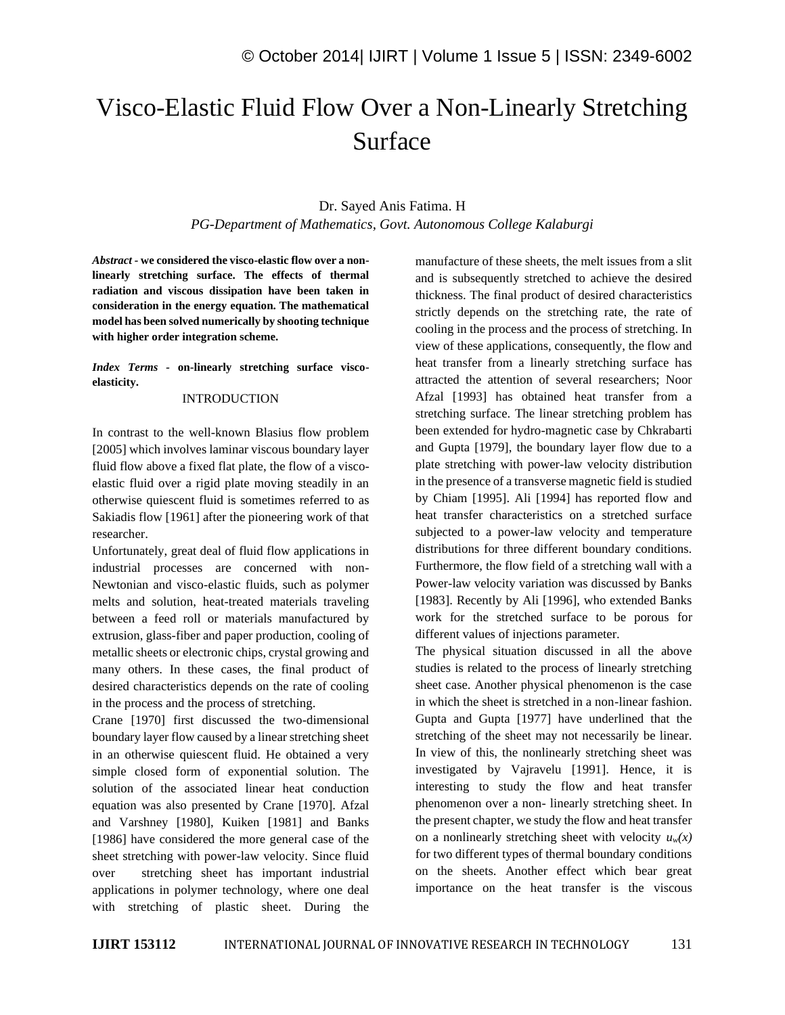# Visco-Elastic Fluid Flow Over a Non-Linearly Stretching Surface

# Dr. Sayed Anis Fatima. H *PG-Department of Mathematics, Govt. Autonomous College Kalaburgi*

*Abstract -* **we considered the visco-elastic flow over a nonlinearly stretching surface. The effects of thermal radiation and viscous dissipation have been taken in consideration in the energy equation. The mathematical model has been solved numerically by shooting technique with higher order integration scheme.**

## *Index Terms -* **on-linearly stretching surface viscoelasticity.**

#### INTRODUCTION

In contrast to the well-known Blasius flow problem [2005] which involves laminar viscous boundary layer fluid flow above a fixed flat plate, the flow of a viscoelastic fluid over a rigid plate moving steadily in an otherwise quiescent fluid is sometimes referred to as Sakiadis flow [1961] after the pioneering work of that researcher.

Unfortunately, great deal of fluid flow applications in industrial processes are concerned with non-Newtonian and visco-elastic fluids, such as polymer melts and solution, heat-treated materials traveling between a feed roll or materials manufactured by extrusion, glass-fiber and paper production, cooling of metallic sheets or electronic chips, crystal growing and many others. In these cases, the final product of desired characteristics depends on the rate of cooling in the process and the process of stretching.

Crane [1970] first discussed the two-dimensional boundary layer flow caused by a linear stretching sheet in an otherwise quiescent fluid. He obtained a very simple closed form of exponential solution. The solution of the associated linear heat conduction equation was also presented by Crane [1970]. Afzal and Varshney [1980], Kuiken [1981] and Banks [1986] have considered the more general case of the sheet stretching with power-law velocity. Since fluid over stretching sheet has important industrial applications in polymer technology, where one deal with stretching of plastic sheet. During the manufacture of these sheets, the melt issues from a slit and is subsequently stretched to achieve the desired thickness. The final product of desired characteristics strictly depends on the stretching rate, the rate of cooling in the process and the process of stretching. In view of these applications, consequently, the flow and heat transfer from a linearly stretching surface has attracted the attention of several researchers; Noor Afzal [1993] has obtained heat transfer from a stretching surface. The linear stretching problem has been extended for hydro-magnetic case by Chkrabarti and Gupta [1979], the boundary layer flow due to a plate stretching with power-law velocity distribution in the presence of a transverse magnetic field is studied by Chiam [1995]. Ali [1994] has reported flow and heat transfer characteristics on a stretched surface subjected to a power-law velocity and temperature distributions for three different boundary conditions. Furthermore, the flow field of a stretching wall with a Power-law velocity variation was discussed by Banks [1983]. Recently by Ali [1996], who extended Banks work for the stretched surface to be porous for different values of injections parameter.

The physical situation discussed in all the above studies is related to the process of linearly stretching sheet case. Another physical phenomenon is the case in which the sheet is stretched in a non-linear fashion. Gupta and Gupta [1977] have underlined that the stretching of the sheet may not necessarily be linear. In view of this, the nonlinearly stretching sheet was investigated by Vajravelu [1991]. Hence, it is interesting to study the flow and heat transfer phenomenon over a non- linearly stretching sheet. In the present chapter, we study the flow and heat transfer on a nonlinearly stretching sheet with velocity  $u_w(x)$ for two different types of thermal boundary conditions on the sheets. Another effect which bear great importance on the heat transfer is the viscous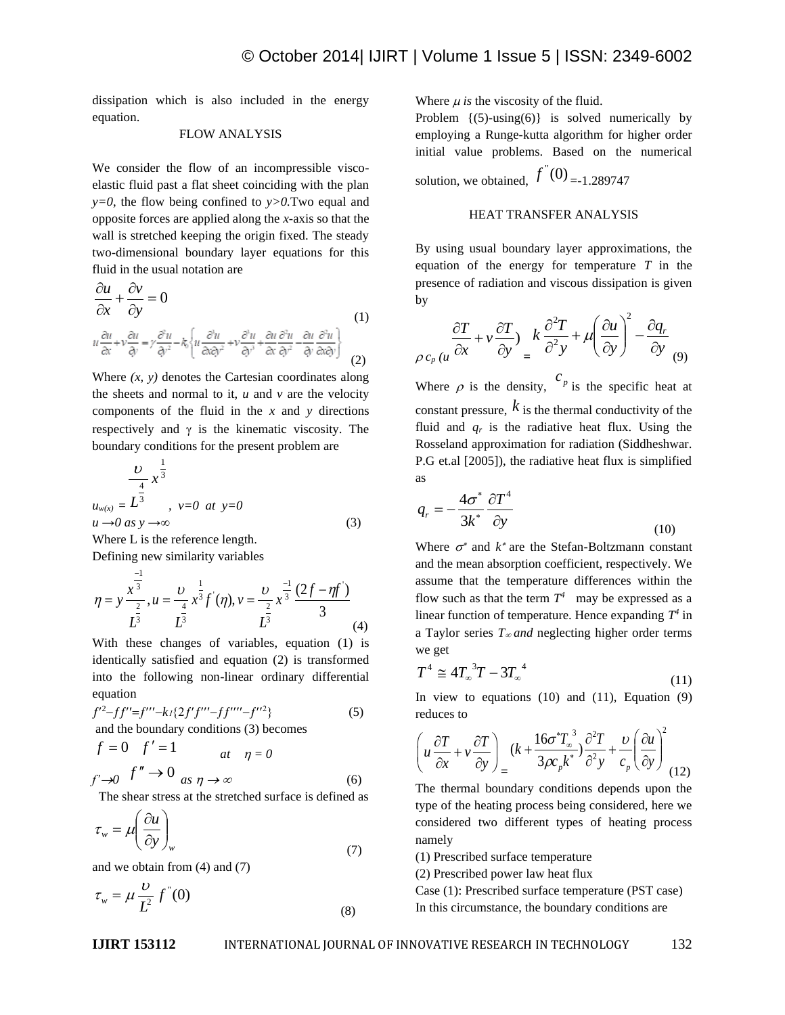dissipation which is also included in the energy equation.

# FLOW ANALYSIS

We consider the flow of an incompressible viscoelastic fluid past a flat sheet coinciding with the plan *y=0*, the flow being confined to *y>0.*Two equal and opposite forces are applied along the *x-*axis so that the wall is stretched keeping the origin fixed. The steady two-dimensional boundary layer equations for this fluid in the usual notation are

$$
\frac{\partial u}{\partial x} + \frac{\partial v}{\partial y} = 0
$$
\n
$$
u \frac{\partial u}{\partial x} + v \frac{\partial u}{\partial y} = y \frac{\partial^2 u}{\partial y^2} - k_0 \left\{ u \frac{\partial^3 u}{\partial x \partial y^2} + v \frac{\partial^3 u}{\partial y^3} + \frac{\partial u}{\partial x} \frac{\partial^2 u}{\partial y^2} - \frac{\partial u}{\partial y} \frac{\partial^2 u}{\partial x \partial y} \right\}
$$
\n(1)

Where  $(x, y)$  denotes the Cartesian coordinates along the sheets and normal to it,  $u$  and  $v$  are the velocity components of the fluid in the *x* and *y* directions respectively and  $\gamma$  is the kinematic viscosity. The boundary conditions for the present problem are

$$
\frac{v}{u_{w(x)}} = \frac{1}{2} \frac{1}{3}
$$
\n
$$
u_{w(x)} = L^{\frac{4}{3}}
$$
\n
$$
v = 0 \text{ at } y = 0
$$
\n
$$
u \to 0 \text{ as } y \to \infty
$$
\n(3)

Where L is the reference length. Defining new similarity variables

3

3

3  $u = \frac{v}{4} \int_0^1 x^3 f'(\eta)$ ,  $v = \frac{v}{2} \int_0^1 \frac{2f - \eta f'}{(\eta)}$  $\frac{1}{3}$   $(2f - \eta f)^2$ 1  ${}^{3}f'(\eta), v = \frac{0}{2}$ 1 4 2 3 1  $\int \frac{1}{3} (2f - \eta f)$  $x^3 f(\eta)$ , v *u*  $\eta = y \frac{x^3}{2}, u = \frac{v}{4} x^{\frac{1}{3}} f'(\eta), v = \frac{v}{2} x^{\frac{-1}{3}} \frac{(2f - \eta)}{2}$  $y=\frac{x^3}{2}, u=\frac{v}{4}, x^{\frac{1}{3}}f'(\eta), v=\frac{v}{3}, x^{\frac{-1}{3}}\frac{(2f-1)}{(2f-1)}$  $\frac{-1}{3}$  1 –

$$
L3 L3 L3
$$
 (4)  
With these changes of variables, equation (1) is  
identically satisfied and equation (2) is transformed  
into the following non-linear ordinary differential  
equation

3

$$
f'^{2}-ff''=f'''-k_1\{2f'f'''-ff'''-f''^{2}\}\tag{5}
$$

and the boundary conditions (3) becomes

$$
f = 0 \t f' = 1 \t at \t \eta = 0
$$
  

$$
f' \to 0 \t as \t \eta \to \infty \t (6)
$$

The shear stress at the stretched surface is defined as

$$
\tau_w = \mu \left( \frac{\partial u}{\partial y} \right)_w \tag{7}
$$

and we obtain from (4) and (7)

$$
\tau_w = \mu \frac{\nu}{L^2} f^{\prime\prime}(0) \tag{8}
$$

Where  $\mu$  is the viscosity of the fluid.

Problem  $\{(5)$ -using $(6)\}$  is solved numerically by employing a Runge-kutta algorithm for higher order initial value problems. Based on the numerical solution, we obtained,  $f''(0)$ <sub>=-1.289747</sub>

## HEAT TRANSFER ANALYSIS

By using usual boundary layer approximations, the equation of the energy for temperature *T* in the presence of radiation and viscous dissipation is given by

$$
\frac{\partial T}{\partial c_p (u \frac{\partial x}{\partial x} + v \frac{\partial T}{\partial y})} = k \frac{\partial^2 T}{\partial^2 y} + \mu \left(\frac{\partial u}{\partial y}\right)^2 - \frac{\partial q_r}{\partial y} (9)
$$

Where  $\rho$  is the density,  $\binom{c_p}{p}$  is the specific heat at constant pressure,  $k$  is the thermal conductivity of the fluid and  $q_r$  is the radiative heat flux. Using the Rosseland approximation for radiation (Siddheshwar. P.G et.al [2005]), the radiative heat flux is simplified as

$$
q_r = -\frac{4\sigma^*}{3k^*} \frac{\partial T^4}{\partial y}
$$
 (10)

Where  $\sigma^*$  and  $k^*$  are the Stefan-Boltzmann constant and the mean absorption coefficient, respectively. We assume that the temperature differences within the flow such as that the term  $T^4$  may be expressed as a linear function of temperature. Hence expanding  $T^4$  in a Taylor series  $T_{\infty}$  *and* neglecting higher order terms we get

$$
T^4 \cong 4T_{\infty}^3 T - 3T_{\infty}^4 \tag{11}
$$

In view to equations  $(10)$  and  $(11)$ , Equation  $(9)$ reduces to

$$
\left(u\frac{\partial T}{\partial x} + v\frac{\partial T}{\partial y}\right)_{=} (k + \frac{16\sigma^* T_{\infty}^3}{3\rho c_p k^*}) \frac{\partial^2 T}{\partial^2 y} + \frac{\nu}{c_p} \left(\frac{\partial u}{\partial y}\right)^2 (12)
$$

The thermal boundary conditions depends upon the type of the heating process being considered, here we considered two different types of heating process namely

(1) Prescribed surface temperature

(2) Prescribed power law heat flux

Case (1): Prescribed surface temperature (PST case) In this circumstance, the boundary conditions are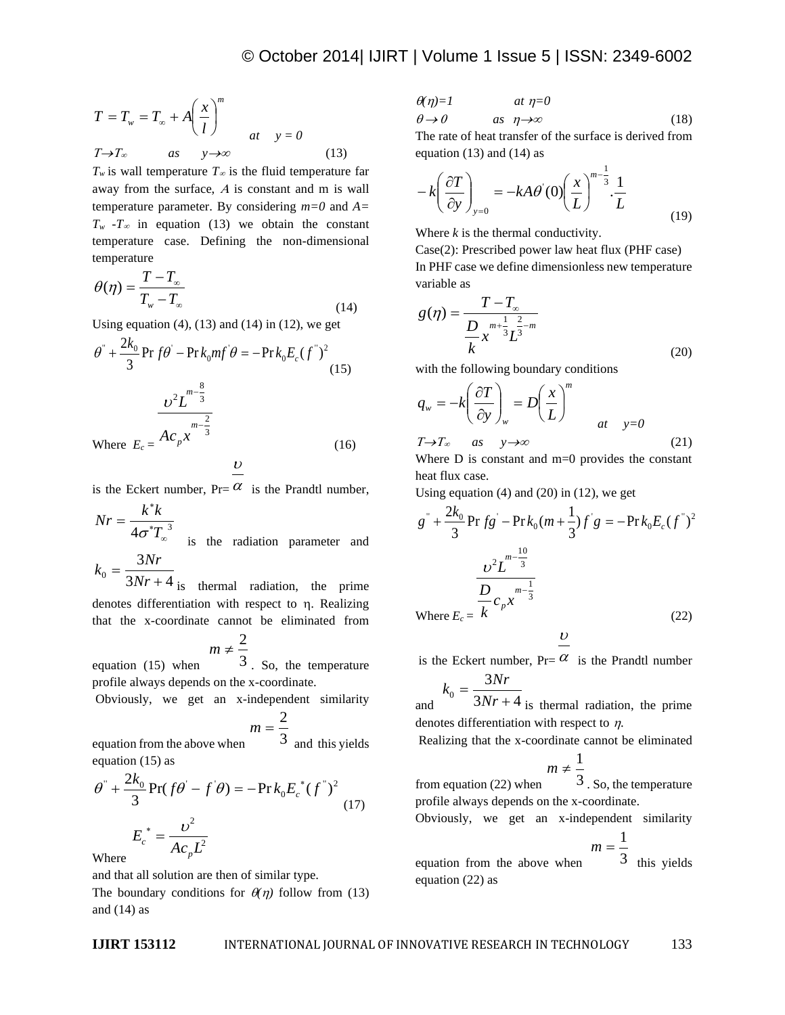$$
T = T_w = T_{\infty} + A \left(\frac{x}{l}\right)^m
$$
  
\n
$$
T \rightarrow T_{\infty} \qquad \text{as} \qquad y \rightarrow \infty \qquad (13)
$$

 $T_w$  is wall temperature  $T_\infty$  is the fluid temperature far away from the surface,  $A$  is constant and m is wall temperature parameter. By considering *m=0* and *A=*   $T_w$   $-T_\infty$  in equation (13) we obtain the constant temperature case. Defining the non-dimensional temperature

$$
\theta(\eta) = \frac{T - T_{\infty}}{T_{w} - T_{\infty}}
$$
\n(14)

Using equation  $(4)$ ,  $(13)$  and  $(14)$  in  $(12)$ , we get

$$
T = T_w = T_w + A\left(\frac{x}{l}\right)^m
$$
\n
$$
T \rightarrow T_w
$$
\n
$$
T \rightarrow T_w
$$
\n
$$
T \rightarrow T_w
$$
\n
$$
T \rightarrow T_w
$$
\n
$$
T \rightarrow T_w
$$
\n
$$
T \rightarrow T_w
$$
\n
$$
T \rightarrow T_w
$$
\n
$$
T \rightarrow T_w
$$
\n
$$
T \rightarrow T_w
$$
\n
$$
T \rightarrow T_w
$$
\n
$$
T \rightarrow T_w
$$
\n
$$
T \rightarrow T_w
$$
\n
$$
T \rightarrow T_w
$$
\n
$$
T \rightarrow T_w
$$
\n
$$
T \rightarrow T_w
$$
\n
$$
T \rightarrow T_w
$$
\n
$$
T \rightarrow T_w
$$
\n
$$
T \rightarrow T_w
$$
\n
$$
T \rightarrow T_w
$$
\n
$$
T \rightarrow T_w
$$
\n
$$
T \rightarrow T_w
$$
\n
$$
T \rightarrow T_w
$$
\n
$$
T \rightarrow T_w
$$
\n
$$
T \rightarrow T_w
$$
\n
$$
T \rightarrow T_w
$$
\n
$$
T \rightarrow T_w
$$
\n
$$
T \rightarrow T_w
$$
\n
$$
T \rightarrow T_w
$$
\n
$$
T \rightarrow T_w
$$
\n
$$
T \rightarrow T_w
$$
\n
$$
T \rightarrow T_w
$$
\n
$$
T \rightarrow T_w
$$
\n
$$
T \rightarrow T_w
$$
\n
$$
T \rightarrow T_w
$$
\n
$$
T \rightarrow T_w
$$
\n
$$
T \rightarrow T_w
$$
\n
$$
T \rightarrow T_w
$$
\n
$$
T \rightarrow T_w
$$
\n
$$
T \rightarrow T_w
$$
\n
$$
T \rightarrow T_w
$$
\n
$$
T \rightarrow T_w
$$
\n
$$
T \rightarrow T_w
$$
\n
$$
T \rightarrow T_w
$$
\n
$$
T \rightarrow T_w
$$
\n
$$
T \rightarrow T_w
$$
\n
$$
T \rightarrow T_w
$$
\n
$$
T \rightarrow T_w
$$
\n
$$
T \rightarrow T_w
$$
\n
$$
T \rightarrow T_w
$$
\n

$$
\overline{v}
$$

is the Eckert number,  $Pr = \alpha$  is the Prandtl number,

$$
Nr = \frac{k^*k}{4\sigma^*T_{\infty}^3}
$$
 is the radiation parameter and  

$$
k_0 = \frac{3Nr}{2\sigma^2}
$$

 $3Nr + 4$  $^{0}$  –  $\frac{1}{3Nr+1}$ *Nr* is thermal radiation, the prime denotes differentiation with respect to  $\eta$ . Realizing that the x-coordinate cannot be eliminated from

$$
m \neq \frac{2}{3}
$$

equation (15) when 3 . So, the temperature profile always depends on the x-coordinate.

Obviously, we get an x-independent similarity

$$
m=\frac{2}{2}
$$

equation from the above when 3 and this yields equation (15) as

$$
\theta^{\dagger} + \frac{2k_0}{3} \Pr(f\theta' - f'\theta) = -\Pr k_0 E_c^*(f^{\dagger})^2
$$
  

$$
E_c^* = \frac{v^2}{Ac_pL^2}
$$
 (17)

Where

and  $(14)$  as

and that all solution are then of similar type. The boundary conditions for  $\theta(\eta)$  follow from (13)

$$
\theta(\eta)=1 \qquad at \eta=0
$$
  
\n
$$
\theta \to 0 \qquad as \quad \eta \to \infty \qquad (18)
$$

The rate of heat transfer of the surface is derived from equation  $(13)$  and  $(14)$  as

$$
-k\left(\frac{\partial T}{\partial y}\right)_{y=0} = -kA\theta'(0)\left(\frac{x}{L}\right)^{m-\frac{1}{3}}\cdot\frac{1}{L}
$$
(19)

Where *k* is the thermal conductivity.

Case(2): Prescribed power law heat flux (PHF case) In PHF case we define dimensionless new temperature variable as

$$
g(\eta) = \frac{T - T_{\infty}}{\frac{D}{k} x^{\frac{n+1}{3}} L^{\frac{2}{3} - m}}
$$
\n(20)

with the following boundary conditions

$$
q_w = -k \left(\frac{\partial T}{\partial y}\right)_w = D \left(\frac{x}{L}\right)^m
$$
  

$$
T \to T_\infty \quad \text{as} \quad y \to \infty
$$
 (21)

Where  $D$  is constant and  $m=0$  provides the constant heat flux case.

Using equation (4) and (20) in (12), we get

$$
g^{\dagger} + \frac{2k_0}{3} \Pr f g - \Pr k_0 (m + \frac{1}{3}) f^{\dagger} g = -\Pr k_0 E_c (f^{\dagger})^2
$$

$$
\frac{U^2 L^{m - \frac{10}{3}}}{\frac{D}{k} c_p x^{m - \frac{1}{3}}}
$$
Where  $E_c = \frac{1}{k}$  (22)

 $\boldsymbol{\upsilon}$ 

is the Eckert number,  $Pr = \alpha$  is the Prandtl number

$$
k_0 = \frac{3Nr}{3Nr+4}
$$

and  $3Nr + 4$  is thermal radiation, the prime denotes differentiation with respect to  $\eta$ .

Realizing that the x-coordinate cannot be eliminated

$$
m\neq \frac{1}{3}
$$

 $m$ 

from equation (22) when 3 . So, the temperature profile always depends on the x-coordinate.

Obviously, we get an x-independent similarity

$$
=\frac{1}{3}
$$

equation from the above when 3 this yields equation (22) as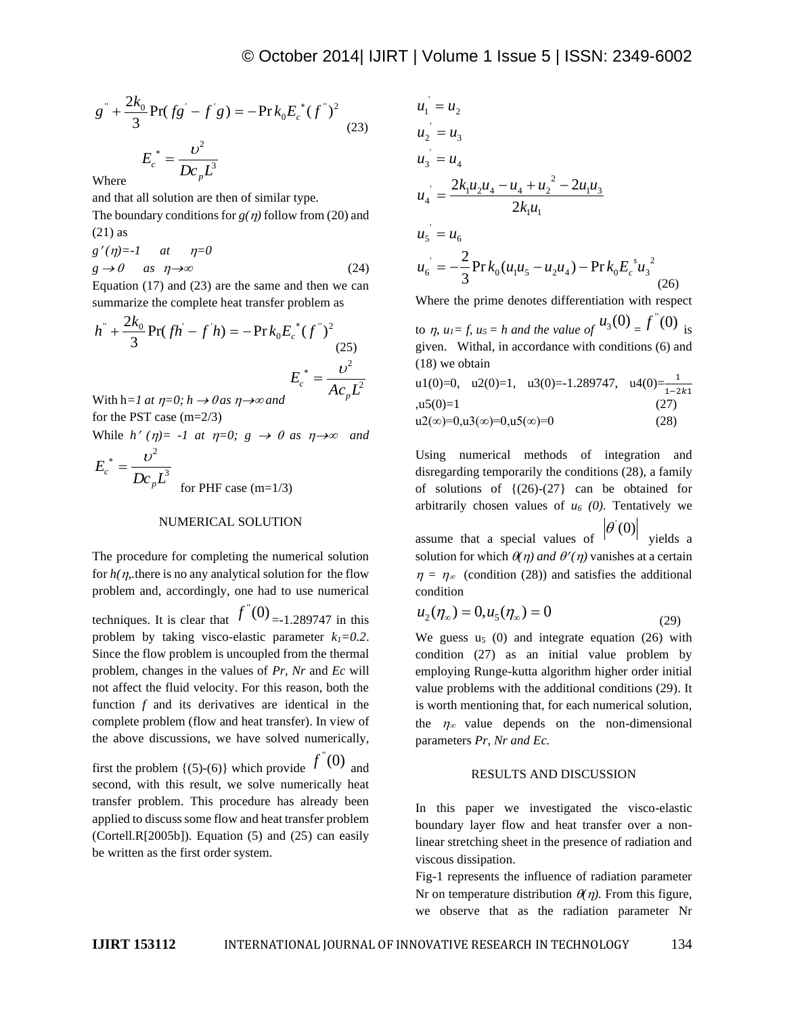$$
g^{\dagger} + \frac{2k_0}{3} \Pr(fg - f'g) = -\Pr k_0 E_c^*(f^{\dagger})^2
$$
  

$$
E_c^* = \frac{v^2}{Dc_p L^3}
$$
 (23)

Where

and that all solution are then of similar type.

The boundary conditions for  $g(\eta)$  follow from (20) and (21) as

 $g'(\eta) = -1$  at  $\eta = 0$  $g \to 0$  as  $\eta \to \infty$  (24)

Equation (17) and (23) are the same and then we can summarize the complete heat transfer problem as

$$
h'' + \frac{2k_0}{3} \Pr(fh - f'h) = -\Pr k_0 E_c^*(f'')^2
$$
\n(25)\n
$$
E_c^* = \frac{v^2}{Ac_p L^2}
$$
\nWith  $b = l$  at  $n = 0$ :  $b > 0$  as  $n > 0$  and

With  $h=1$  *at*  $\eta=0$ ;  $h \rightarrow 0$  *as*  $\eta \rightarrow \infty$  *and* for the PST case (m=2/3)

While  $h'(\eta) = -1$  at  $\eta = 0$ ;  $g \to 0$  as  $\eta \to \infty$  and

$$
E_c^* = \frac{v^2}{Dc_p L^3}
$$
 for PHF case (m=1/3)

#### NUMERICAL SOLUTION

The procedure for completing the numerical solution for  $h(\eta)$ , there is no any analytical solution for the flow problem and, accordingly, one had to use numerical

techniques. It is clear that  $f''(0)$  =-1.289747 in this problem by taking visco-elastic parameter  $k_1 = 0.2$ . Since the flow problem is uncoupled from the thermal problem, changes in the values of *Pr, Nr* and *Ec* will not affect the fluid velocity. For this reason, both the function *f* and its derivatives are identical in the complete problem (flow and heat transfer). In view of the above discussions, we have solved numerically,

first the problem  $\{(5)-(6)\}\$  which provide  $f''(0)$  and second, with this result, we solve numerically heat transfer problem. This procedure has already been applied to discuss some flow and heat transfer problem  $(Cortell.R[2005b])$ . Equation (5) and (25) can easily be written as the first order system.

$$
u_1 = u_2
$$
  
\n
$$
u_2 = u_3
$$
  
\n
$$
u_3 = u_4
$$
  
\n
$$
u_4 = \frac{2k_1u_2u_4 - u_4 + u_2^2 - 2u_1u_3}{2k_1u_1}
$$
  
\n
$$
u_5 = u_6
$$
  
\n
$$
u_6 = -\frac{2}{3}\Pr k_0(u_1u_5 - u_2u_4) - \Pr k_0E_c^su_3^2
$$
 (26)

Where the prime denotes differentiation with respect

to  $\eta$ ,  $u_1 = f$ ,  $u_5 = h$  and the value of  $u_3(0) = f'(0)$  is given.Withal, in accordance with conditions (6) and (18) we obtain

u1(0)=0, u2(0)=1, u3(0)=-1.289747, u4(0)= $\frac{1}{1-2k1}$  $,u5(0)=1$  (27)  $u2(\infty)=0, u3(\infty)=0, u5(\infty)=0$  (28)

Using numerical methods of integration and disregarding temporarily the conditions (28), a family of solutions of  $\{(26)-(27)\}$  can be obtained for arbitrarily chosen values of  $u_6$  (0). Tentatively we assume that a special values of  $\theta(0)$ yields a solution for which  $\theta(\eta)$  and  $\theta'(\eta)$  vanishes at a certain  $\eta = \eta_{\infty}$  (condition (28)) and satisfies the additional condition

$$
u_2(\eta_\infty) = 0, u_5(\eta_\infty) = 0
$$
\n(29)

We guess  $u_5$  (0) and integrate equation (26) with condition (27) as an initial value problem by employing Runge-kutta algorithm higher order initial value problems with the additional conditions (29). It is worth mentioning that, for each numerical solution, the  $\eta_{\infty}$  value depends on the non-dimensional parameters *Pr, Nr and Ec.* 

#### RESULTS AND DISCUSSION

In this paper we investigated the visco-elastic boundary layer flow and heat transfer over a nonlinear stretching sheet in the presence of radiation and viscous dissipation.

Fig-1 represents the influence of radiation parameter Nr on temperature distribution  $\theta(\eta)$ . From this figure, we observe that as the radiation parameter Nr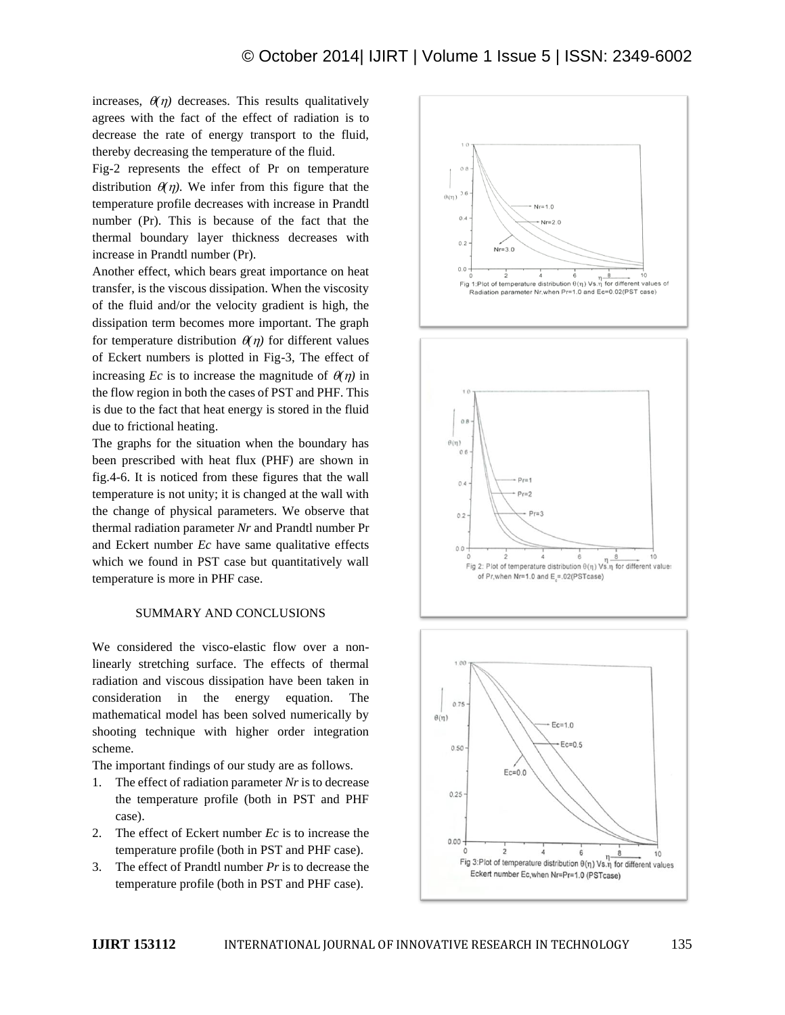increases,  $\theta(\eta)$  decreases. This results qualitatively agrees with the fact of the effect of radiation is to decrease the rate of energy transport to the fluid, thereby decreasing the temperature of the fluid.

Fig-2 represents the effect of Pr on temperature distribution  $\theta(\eta)$ . We infer from this figure that the temperature profile decreases with increase in Prandtl number (Pr). This is because of the fact that the thermal boundary layer thickness decreases with increase in Prandtl number (Pr).

Another effect, which bears great importance on heat transfer, is the viscous dissipation. When the viscosity of the fluid and/or the velocity gradient is high, the dissipation term becomes more important. The graph for temperature distribution  $\theta(\eta)$  for different values of Eckert numbers is plotted in Fig-3, The effect of increasing *Ec* is to increase the magnitude of  $\theta(\eta)$  in the flow region in both the cases of PST and PHF. This is due to the fact that heat energy is stored in the fluid due to frictional heating.

The graphs for the situation when the boundary has been prescribed with heat flux (PHF) are shown in fig.4-6. It is noticed from these figures that the wall temperature is not unity; it is changed at the wall with the change of physical parameters. We observe that thermal radiation parameter *Nr* and Prandtl number Pr and Eckert number *Ec* have same qualitative effects which we found in PST case but quantitatively wall temperature is more in PHF case.

#### SUMMARY AND CONCLUSIONS

We considered the visco-elastic flow over a nonlinearly stretching surface. The effects of thermal radiation and viscous dissipation have been taken in consideration in the energy equation. The mathematical model has been solved numerically by shooting technique with higher order integration scheme.

The important findings of our study are as follows.

- 1. The effect of radiation parameter *Nr* is to decrease the temperature profile (both in PST and PHF case).
- 2. The effect of Eckert number *Ec* is to increase the temperature profile (both in PST and PHF case).
- 3. The effect of Prandtl number *Pr* is to decrease the temperature profile (both in PST and PHF case).